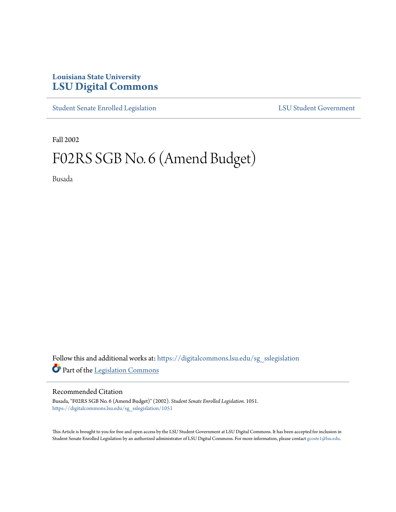## **Louisiana State University [LSU Digital Commons](https://digitalcommons.lsu.edu?utm_source=digitalcommons.lsu.edu%2Fsg_sslegislation%2F1051&utm_medium=PDF&utm_campaign=PDFCoverPages)**

[Student Senate Enrolled Legislation](https://digitalcommons.lsu.edu/sg_sslegislation?utm_source=digitalcommons.lsu.edu%2Fsg_sslegislation%2F1051&utm_medium=PDF&utm_campaign=PDFCoverPages) [LSU Student Government](https://digitalcommons.lsu.edu/sg?utm_source=digitalcommons.lsu.edu%2Fsg_sslegislation%2F1051&utm_medium=PDF&utm_campaign=PDFCoverPages)

Fall 2002

# F02RS SGB No. 6 (Amend Budget)

Busada

Follow this and additional works at: [https://digitalcommons.lsu.edu/sg\\_sslegislation](https://digitalcommons.lsu.edu/sg_sslegislation?utm_source=digitalcommons.lsu.edu%2Fsg_sslegislation%2F1051&utm_medium=PDF&utm_campaign=PDFCoverPages) Part of the [Legislation Commons](http://network.bepress.com/hgg/discipline/859?utm_source=digitalcommons.lsu.edu%2Fsg_sslegislation%2F1051&utm_medium=PDF&utm_campaign=PDFCoverPages)

#### Recommended Citation

Busada, "F02RS SGB No. 6 (Amend Budget)" (2002). *Student Senate Enrolled Legislation*. 1051. [https://digitalcommons.lsu.edu/sg\\_sslegislation/1051](https://digitalcommons.lsu.edu/sg_sslegislation/1051?utm_source=digitalcommons.lsu.edu%2Fsg_sslegislation%2F1051&utm_medium=PDF&utm_campaign=PDFCoverPages)

This Article is brought to you for free and open access by the LSU Student Government at LSU Digital Commons. It has been accepted for inclusion in Student Senate Enrolled Legislation by an authorized administrator of LSU Digital Commons. For more information, please contact [gcoste1@lsu.edu.](mailto:gcoste1@lsu.edu)